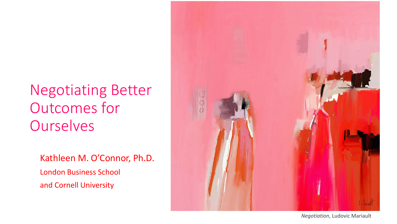### Negotiating Better Outcomes for **Ourselves**

Kathleen M. O'Connor, Ph.D. London Business School and Cornell University



*Negotiation*, Ludovic Mariault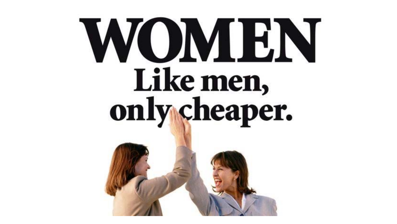# WOMEN Like men, only cheaper.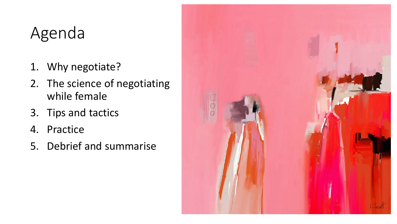### Agenda

- 1. Why negotiate?
- 2. The science of negotiating while female
- 3. Tips and tactics
- 4. Practice
- 5. Debrief and summarise

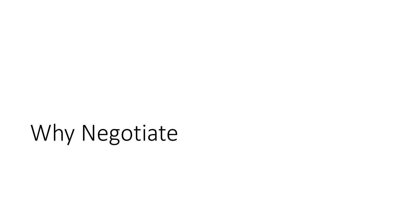# Why Negotiate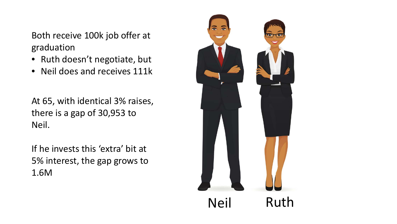Both receive 100k job offer at graduation

- Ruth doesn't negotiate, but
- Neil does and receives 111k

At 65, with identical 3% raises, there is a gap of 30,953 to Neil.

If he invests this 'extra' bit at 5% interest, the gap grows to 1.6M

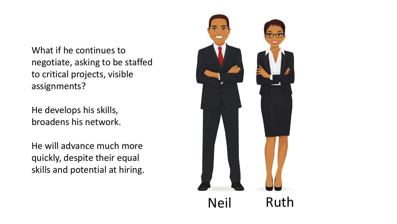What if he continues to negotiate, asking to be staffed to critical projects, visible assignments?

He develops his skills, broadens his network.

He will advance much more quickly, despite their equal skills and potential at hiring.

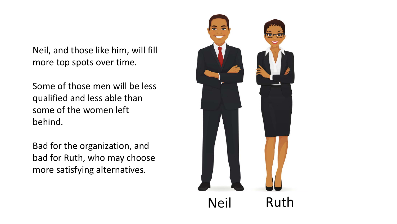Neil, and those like him, will fill more top spots over time.

Some of those men will be less qualified and less able than some of the women left behind.

Bad for the organization, and bad for Ruth, who may choose more satisfying alternatives.

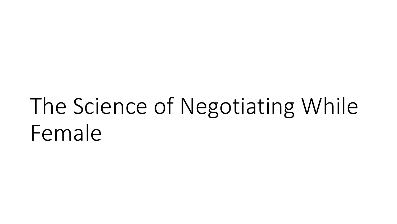# The Science of Negotiating While Female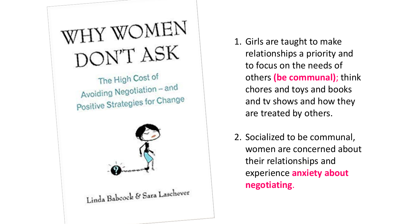

The High Cost of Avoiding Negotiation – and Positive Strategies for Change



Linda Babcock & Sara Laschever

1. Girls are taught to make relationships a priority and to focus on the needs of others **(be communal)**; think chores and toys and books and tv shows and how they are treated by others.

2. Socialized to be communal, women are concerned about their relationships and experience **anxiety about negotiating**.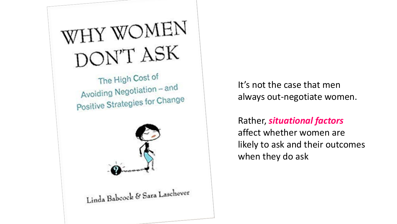# WHY WOMEN DON'T ASK

The High Cost of Avoiding Negotiation - and Positive Strategies for Change



Linda Babcock & Sara Laschever

It's not the case that men always out-negotiate women.

Rather, *situational factors* affect whether women are likely to ask and their outcomes when they do ask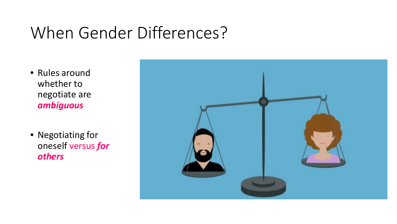### When Gender Differences?

- Rules around whether to negotiate are *ambiguous*
- Negotiating for oneself versus *for others*

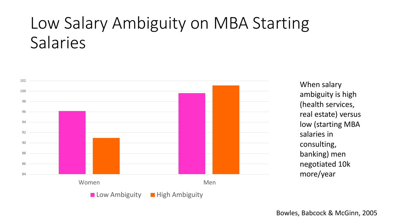### Low Salary Ambiguity on MBA Starting Salaries



When salary ambiguity is high (health services, real estate) versus low (starting MBA salaries in consulting, banking) men negotiated 10k more/year

Bowles, Babcock & McGinn, 2005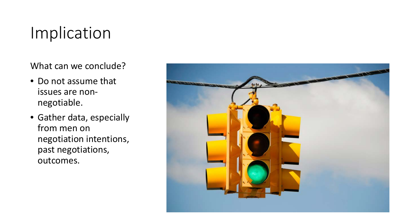### Implication

What can we conclude?

- Do not assume that issues are nonnegotiable.
- Gather data, especially from men on negotiation intentions, past negotiations, outcomes.

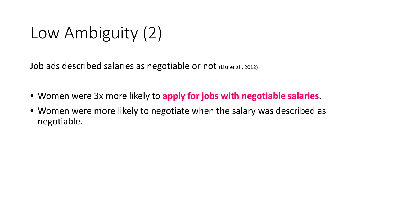Low Ambiguity (2)

Job ads described salaries as negotiable or not (List et al., 2012)

- Women were 3x more likely to **apply for jobs with negotiable salaries**.
- Women were more likely to negotiate when the salary was described as negotiable.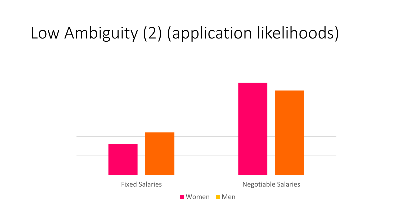### Low Ambiguity (2) (application likelihoods)

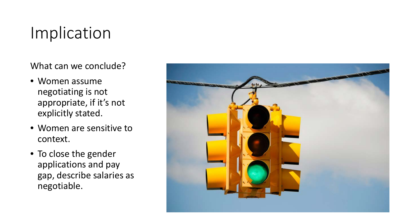### Implication

What can we conclude?

- Women assume negotiating is not appropriate, if it's not explicitly stated.
- Women are sensitive to context.
- To close the gender applications and pay gap, describe salaries as negotiable.

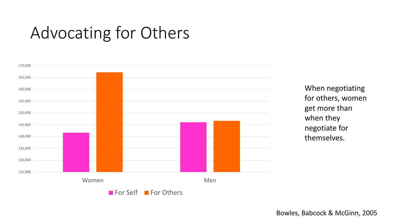### Advocating for Others



When negotiating for others, women get more than when they negotiate for themselves.

Bowles, Babcock & McGinn, 2005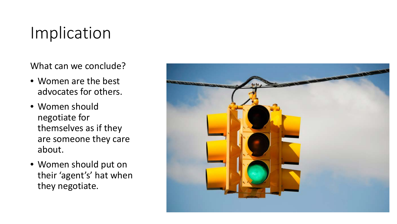### Implication

What can we conclude?

- Women are the best advocates for others.
- Women should negotiate for themselves as if they are someone they care about.
- Women should put on their 'agent's' hat when they negotiate.

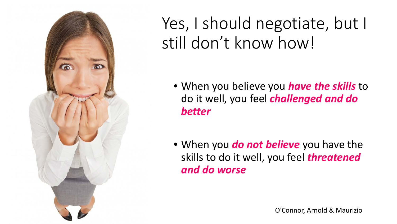![](_page_18_Picture_0.jpeg)

Yes, I should negotiate, but I still don't know how!

- When you believe you *have the skills* to do it well, you feel *challenged and do better*
- When you *do not believe* you have the skills to do it well, you feel *threatened and do worse*

O'Connor, Arnold & Maurizio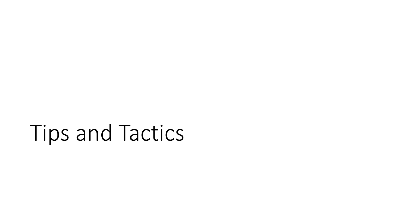## Tips and Tactics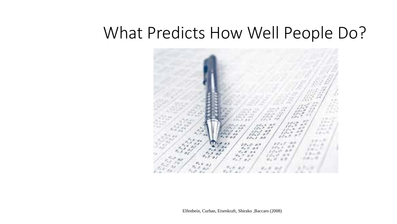### What Predicts How Well People Do?

![](_page_20_Picture_1.jpeg)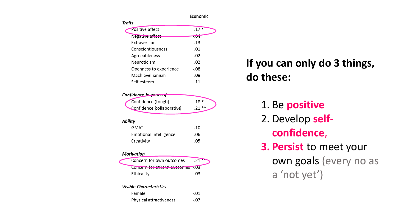![](_page_21_Figure_0.jpeg)

#### **If you can only do 3 things, do these:**

1. Be **positive** 2. Develop **selfconfidence**, **3. Persist** to meet your own goals (every no as a 'not yet')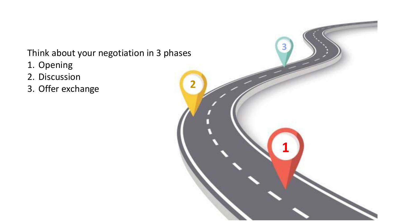Think about your negotiation in 3 phases

- 1. Opening
- 2. Discussion
- 3. Offer exchange

![](_page_22_Picture_4.jpeg)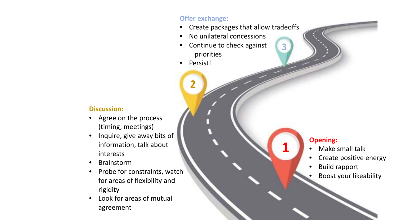#### **Offer exchange:**

- Create packages that allow tradeoffs
- No unilateral concessions
- Continue to check against priorities
- Persist!

**2**

#### **Discussion:**

- Agree on the process (timing, meetings)
- Inquire, give away bits of information, talk about interests
- Brainstorm
- Probe for constraints, watch for areas of flexibility and rigidity
- Look for areas of mutual agreement

#### **Opening:**

**1**

**3**

- Make small talk
- Create positive energy
- Build rapport
- Boost your likeability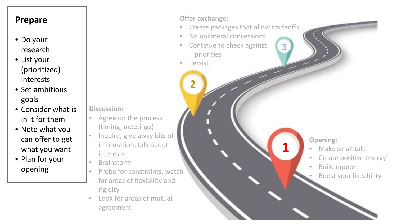#### **Prepare**

- Do your research
- List your (prioritized) interests
- Set ambitious goals
- Consider what is in it for them
- Note what you can offer to get what you want
- Plan for your opening

#### **Offer exchange:**

- Create packages that allow tradeoffs
- No unilateral concessions
- Continue to check against priorities
- Persist!

**2**

- **Discussion:**
- Agree on the process (timing, meetings)
- Inquire, give away bits of information, talk about interests
- Brainstorm
- Probe for constraints, watch for areas of flexibility and rigidity
- Look for areas of mutual agreement

#### **Opening:**

**1**

**3**

- Make small talk
- Create positive energy
- Build rapport
- Boost your likeability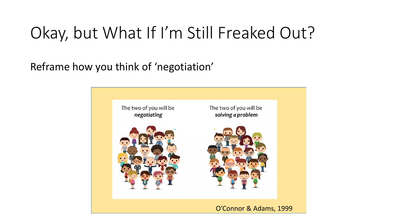### Okay, but What If I'm Still Freaked Out?

Reframe how you think of 'negotiation'

![](_page_25_Picture_2.jpeg)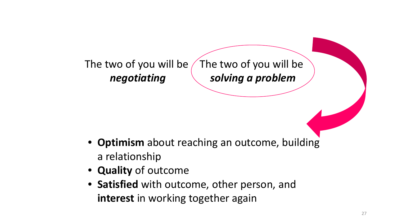#### The two of you will be *negotiating* The two of you will be *solving a problem*

- **Optimism** about reaching an outcome, building a relationship
- **Quality** of outcome
- **Satisfied** with outcome, other person, and **interest** in working together again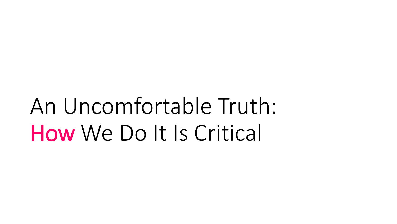# An Uncomfortable Truth: How We Do It Is Critical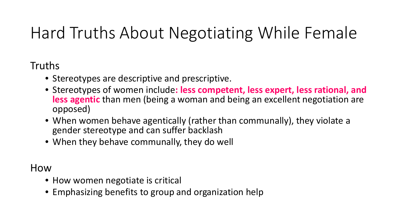### Hard Truths About Negotiating While Female

#### Truths

- Stereotypes are descriptive and prescriptive.
- Stereotypes of women include**: less competent, less expert, less rational, and less agentic** than men (being a woman and being an excellent negotiation are opposed)
- When women behave agentically (rather than communally), they violate a gender stereotype and can suffer backlash
- When they behave communally, they do well

#### How

- How women negotiate is critical
- Emphasizing benefits to group and organization help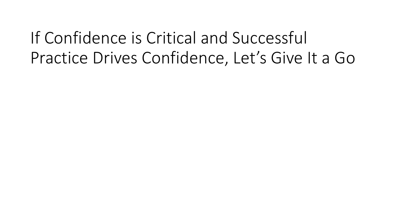### If Confidence is Critical and Successful Practice Drives Confidence, Let's Give It a Go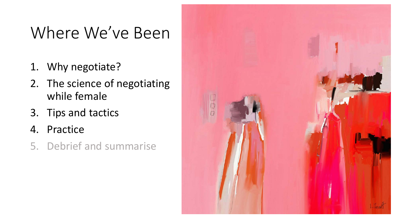### Where We've Been

- 1. Why negotiate?
- 2. The science of negotiating while female
- 3. Tips and tactics
- 4. Practice
- 5. Debrief and summarise

![](_page_30_Picture_6.jpeg)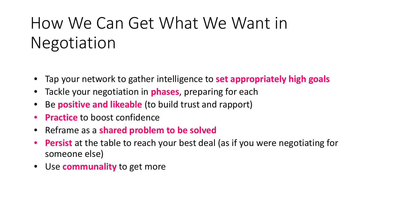### How We Can Get What We Want in Negotiation

- Tap your network to gather intelligence to **set appropriately high goals**
- Tackle your negotiation in **phases**, preparing for each
- Be **positive and likeable** (to build trust and rapport)
- **Practice** to boost confidence
- Reframe as a **shared problem to be solved**
- **Persist** at the table to reach your best deal (as if you were negotiating for someone else)
- Use **communality** to get more